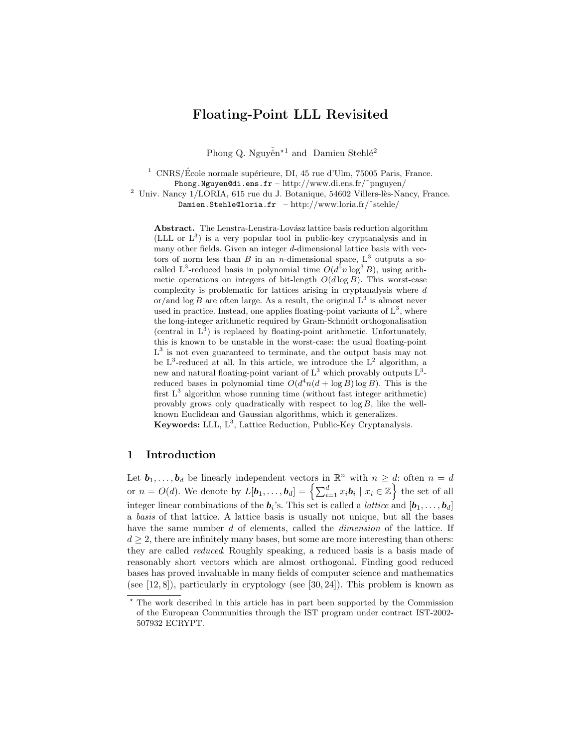# Floating-Point LLL Revisited

Phong Q. Nguyễn<sup>\*1</sup> and Damien Stehlé<sup>2</sup>

<sup>1</sup> CNRS/École normale supérieure, DI, 45 rue d'Ulm, 75005 Paris, France. Phong.Nguyen@di.ens.fr – http://www.di.ens.fr/˜pnguyen/

 $^2$ Univ. Nancy  $1/LORIA$ , 615 rue du J. Botanique, 54602 Villers-lès-Nancy, France. Damien.Stehle@loria.fr – http://www.loria.fr/~stehle/

Abstract. The Lenstra-Lenstra-Lovász lattice basis reduction algorithm (LLL or  $L^3$ ) is a very popular tool in public-key cryptanalysis and in many other fields. Given an integer  $d$ -dimensional lattice basis with vectors of norm less than B in an *n*-dimensional space,  $L^3$  outputs a socalled L<sup>3</sup>-reduced basis in polynomial time  $O(d^5 n \log^3 B)$ , using arithmetic operations on integers of bit-length  $O(d \log B)$ . This worst-case complexity is problematic for lattices arising in cryptanalysis where d or/and  $\log B$  are often large. As a result, the original  $L^3$  is almost never used in practice. Instead, one applies floating-point variants of  $L^3$ , where the long-integer arithmetic required by Gram-Schmidt orthogonalisation (central in  $L^3$ ) is replaced by floating-point arithmetic. Unfortunately, this is known to be unstable in the worst-case: the usual floating-point  $L^3$  is not even guaranteed to terminate, and the output basis may not be  $L^3$ -reduced at all. In this article, we introduce the  $L^2$  algorithm, a new and natural floating-point variant of  $L^3$  which provably outputs  $L^3$ reduced bases in polynomial time  $O(d^4n(d + \log B) \log B)$ . This is the first  $L^3$  algorithm whose running time (without fast integer arithmetic) provably grows only quadratically with respect to  $\log B$ , like the wellknown Euclidean and Gaussian algorithms, which it generalizes.

Keywords: LLL,  $L^3$ , Lattice Reduction, Public-Key Cryptanalysis.

## 1 Introduction

Let  $\mathbf{b}_1, \ldots, \mathbf{b}_d$  be linearly independent vectors in  $\mathbb{R}^n$  with  $n \geq d$ : often  $n = d$ or  $n = O(d)$ . We denote by  $L[\boldsymbol{b}_1,\ldots,\boldsymbol{b}_d] = \left\{\sum_{i=1}^d x_i \boldsymbol{b}_i \mid x_i \in \mathbb{Z}\right\}$  the set of all integer linear combinations of the  $b_i$ 's. This set is called a *lattice* and  $[b_1, \ldots, b_d]$ a basis of that lattice. A lattice basis is usually not unique, but all the bases have the same number d of elements, called the *dimension* of the lattice. If  $d \geq 2$ , there are infinitely many bases, but some are more interesting than others: they are called reduced. Roughly speaking, a reduced basis is a basis made of reasonably short vectors which are almost orthogonal. Finding good reduced bases has proved invaluable in many fields of computer science and mathematics (see  $[12, 8]$ ), particularly in cryptology (see  $[30, 24]$ ). This problem is known as

<sup>?</sup> The work described in this article has in part been supported by the Commission of the European Communities through the IST program under contract IST-2002- 507932 ECRYPT.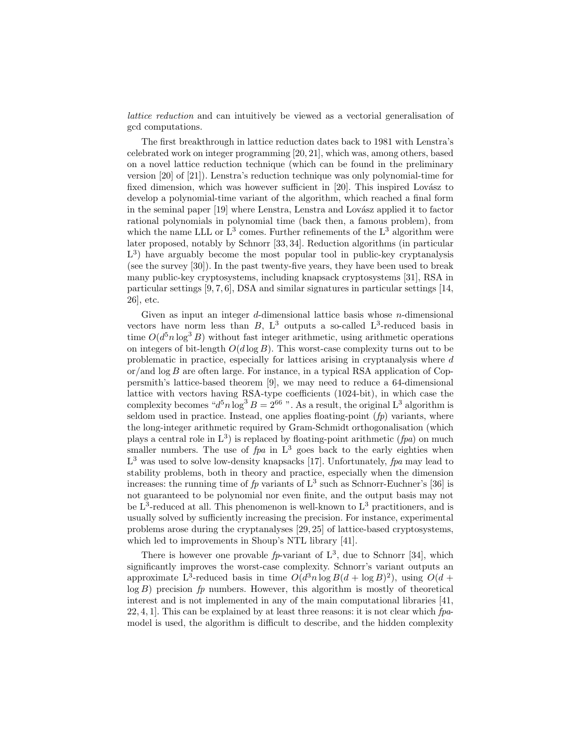lattice reduction and can intuitively be viewed as a vectorial generalisation of gcd computations.

The first breakthrough in lattice reduction dates back to 1981 with Lenstra's celebrated work on integer programming [20, 21], which was, among others, based on a novel lattice reduction technique (which can be found in the preliminary version [20] of [21]). Lenstra's reduction technique was only polynomial-time for fixed dimension, which was however sufficient in  $[20]$ . This inspired Lovász to develop a polynomial-time variant of the algorithm, which reached a final form in the seminal paper  $[19]$  where Lenstra, Lenstra and Lovász applied it to factor rational polynomials in polynomial time (back then, a famous problem), from which the name LLL or  $L^3$  comes. Further refinements of the  $L^3$  algorithm were later proposed, notably by Schnorr [33, 34]. Reduction algorithms (in particular L<sup>3</sup>) have arguably become the most popular tool in public-key cryptanalysis (see the survey [30]). In the past twenty-five years, they have been used to break many public-key cryptosystems, including knapsack cryptosystems [31], RSA in particular settings  $[9, 7, 6]$ , DSA and similar signatures in particular settings  $[14]$ , 26], etc.

Given as input an integer  $d$ -dimensional lattice basis whose  $n$ -dimensional vectors have norm less than  $B$ ,  $L^3$  outputs a so-called  $L^3$ -reduced basis in time  $O(d^5 n \log^3 B)$  without fast integer arithmetic, using arithmetic operations on integers of bit-length  $O(d \log B)$ . This worst-case complexity turns out to be problematic in practice, especially for lattices arising in cryptanalysis where d or/and  $\log B$  are often large. For instance, in a typical RSA application of Coppersmith's lattice-based theorem [9], we may need to reduce a 64-dimensional lattice with vectors having RSA-type coefficients (1024-bit), in which case the complexity becomes " $d^5n \log^3 B = 2^{66}$ ". As a result, the original L<sup>3</sup> algorithm is seldom used in practice. Instead, one applies floating-point  $(p)$  variants, where the long-integer arithmetic required by Gram-Schmidt orthogonalisation (which plays a central role in  $L^3$ ) is replaced by floating-point arithmetic (*fpa*) on much smaller numbers. The use of  $fpa$  in  $L^3$  goes back to the early eighties when  $L^3$  was used to solve low-density knapsacks [17]. Unfortunately, fpa may lead to stability problems, both in theory and practice, especially when the dimension increases: the running time of  $fp$  variants of  $L^3$  such as Schnorr-Euchner's [36] is not guaranteed to be polynomial nor even finite, and the output basis may not be  $L^3$ -reduced at all. This phenomenon is well-known to  $L^3$  practitioners, and is usually solved by sufficiently increasing the precision. For instance, experimental problems arose during the cryptanalyses [29, 25] of lattice-based cryptosystems, which led to improvements in Shoup's NTL library [41].

There is however one provable  $fp$ -variant of  $L^3$ , due to Schnorr [34], which significantly improves the worst-case complexity. Schnorr's variant outputs an approximate L<sup>3</sup>-reduced basis in time  $O(d^3 n \log B(d + \log B)^2)$ , using  $O(d +$  $log B$ ) precision fp numbers. However, this algorithm is mostly of theoretical interest and is not implemented in any of the main computational libraries [41,  $22, 4, 1$ . This can be explained by at least three reasons: it is not clear which  $fp$ model is used, the algorithm is difficult to describe, and the hidden complexity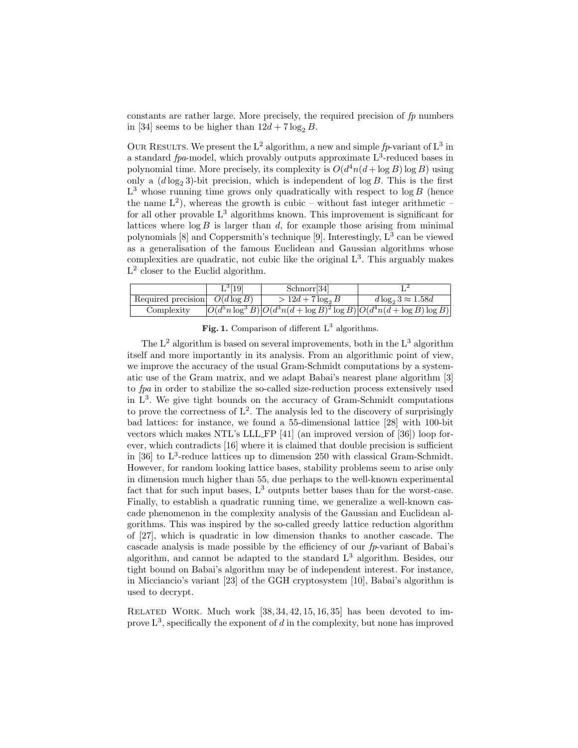constants are rather large. More precisely, the required precision of  $fp$  numbers in [34] seems to be higher than  $12d + 7 \log_2 B$ .

OUR RESULTS. We present the L<sup>2</sup> algorithm, a new and simple  $fp$ -variant of L<sup>3</sup> in a standard  $fpa$ -model, which provably outputs approximate  $L^3$ -reduced bases in polynomial time. More precisely, its complexity is  $O(d^4n(d + \log B) \log B)$  using only a  $(d \log_2 3)$ -bit precision, which is independent of log B. This is the first  $L^3$  whose running time grows only quadratically with respect to  $\log B$  (hence the name  $L^2$ ), whereas the growth is cubic – without fast integer arithmetic – for all other provable  $L^3$  algorithms known. This improvement is significant for lattices where  $\log B$  is larger than d, for example those arising from minimal polynomials  $[8]$  and Coppersmith's technique  $[9]$ . Interestingly,  $L^3$  can be viewed as a generalisation of the famous Euclidean and Gaussian algorithms whose complexities are quadratic, not cubic like the original  $L^3$ . This arguably makes L<sup>2</sup> closer to the Euclid algorithm.

|                                  | $L^3[19]$ | Schnorr <sup>[34]</sup>                                                                       |                            |
|----------------------------------|-----------|-----------------------------------------------------------------------------------------------|----------------------------|
| Required precision $O(d \log B)$ |           | $> 12d + 7 \log_2 B$                                                                          | $d \log_2 3 \approx 1.58d$ |
| Complexity                       |           | $\left O(d^5n\log^3 B) \right O(d^3n(d+\log B)^2\log B) \left O(d^4n(d+\log B)\log B)\right $ |                            |

Fig. 1. Comparison of different  $L^3$  algorithms.

The  $L^2$  algorithm is based on several improvements, both in the  $L^3$  algorithm itself and more importantly in its analysis. From an algorithmic point of view, we improve the accuracy of the usual Gram-Schmidt computations by a systematic use of the Gram matrix, and we adapt Babai's nearest plane algorithm [3] to fpa in order to stabilize the so-called size-reduction process extensively used in  $L^3$ . We give tight bounds on the accuracy of Gram-Schmidt computations to prove the correctness of  $L^2$ . The analysis led to the discovery of surprisingly bad lattices: for instance, we found a 55-dimensional lattice [28] with 100-bit vectors which makes NTL's LLL FP [41] (an improved version of [36]) loop forever, which contradicts [16] where it is claimed that double precision is sufficient in [36] to  $L^3$ -reduce lattices up to dimension 250 with classical Gram-Schmidt. However, for random looking lattice bases, stability problems seem to arise only in dimension much higher than 55, due perhaps to the well-known experimental fact that for such input bases,  $L^3$  outputs better bases than for the worst-case. Finally, to establish a quadratic running time, we generalize a well-known cascade phenomenon in the complexity analysis of the Gaussian and Euclidean algorithms. This was inspired by the so-called greedy lattice reduction algorithm of [27], which is quadratic in low dimension thanks to another cascade. The cascade analysis is made possible by the efficiency of our  $fp$ -variant of Babai's algorithm, and cannot be adapted to the standard  $L<sup>3</sup>$  algorithm. Besides, our tight bound on Babai's algorithm may be of independent interest. For instance, in Micciancio's variant [23] of the GGH cryptosystem [10], Babai's algorithm is used to decrypt.

RELATED WORK. Much work  $[38, 34, 42, 15, 16, 35]$  has been devoted to improve  $L^3$ , specifically the exponent of d in the complexity, but none has improved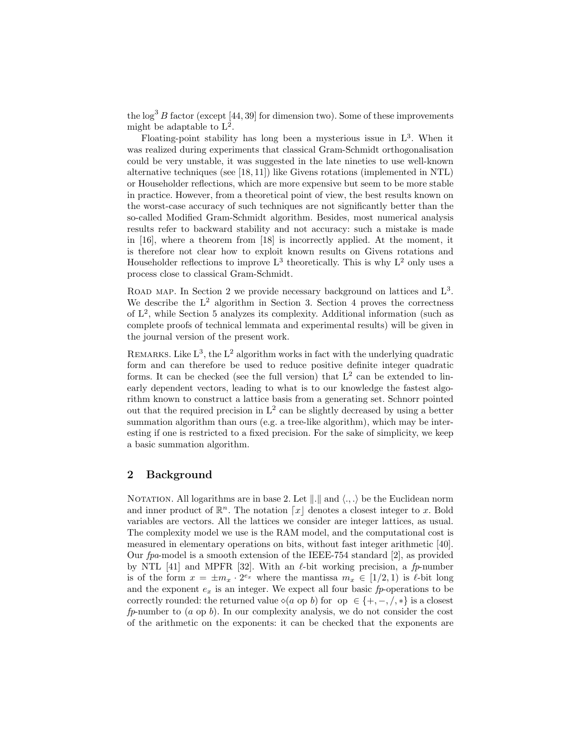the  $\log^3 B$  factor (except [44, 39] for dimension two). Some of these improvements might be adaptable to  $L^2$ .

Floating-point stability has long been a mysterious issue in  $L^3$ . When it was realized during experiments that classical Gram-Schmidt orthogonalisation could be very unstable, it was suggested in the late nineties to use well-known alternative techniques (see [18, 11]) like Givens rotations (implemented in NTL) or Householder reflections, which are more expensive but seem to be more stable in practice. However, from a theoretical point of view, the best results known on the worst-case accuracy of such techniques are not significantly better than the so-called Modified Gram-Schmidt algorithm. Besides, most numerical analysis results refer to backward stability and not accuracy: such a mistake is made in [16], where a theorem from [18] is incorrectly applied. At the moment, it is therefore not clear how to exploit known results on Givens rotations and Householder reflections to improve  $L^3$  theoretically. This is why  $L^2$  only uses a process close to classical Gram-Schmidt.

ROAD MAP. In Section 2 we provide necessary background on lattices and  $L^3$ . We describe the  $L^2$  algorithm in Section 3. Section 4 proves the correctness of L<sup>2</sup> , while Section 5 analyzes its complexity. Additional information (such as complete proofs of technical lemmata and experimental results) will be given in the journal version of the present work.

REMARKS. Like  $L^3$ , the  $L^2$  algorithm works in fact with the underlying quadratic form and can therefore be used to reduce positive definite integer quadratic forms. It can be checked (see the full version) that  $L^2$  can be extended to linearly dependent vectors, leading to what is to our knowledge the fastest algorithm known to construct a lattice basis from a generating set. Schnorr pointed out that the required precision in  $L^2$  can be slightly decreased by using a better summation algorithm than ours (e.g. a tree-like algorithm), which may be interesting if one is restricted to a fixed precision. For the sake of simplicity, we keep a basic summation algorithm.

## 2 Background

NOTATION. All logarithms are in base 2. Let  $\Vert . \Vert$  and  $\langle ., . \rangle$  be the Euclidean norm and inner product of  $\mathbb{R}^n$ . The notation  $\lceil x \rceil$  denotes a closest integer to x. Bold variables are vectors. All the lattices we consider are integer lattices, as usual. The complexity model we use is the RAM model, and the computational cost is measured in elementary operations on bits, without fast integer arithmetic [40]. Our fpa-model is a smooth extension of the IEEE-754 standard [2], as provided by NTL [41] and MPFR [32]. With an  $\ell$ -bit working precision, a fp-number is of the form  $x = \pm m_x \cdot 2^{e_x}$  where the mantissa  $m_x \in [1/2, 1)$  is  $\ell$ -bit long and the exponent  $e_x$  is an integer. We expect all four basic fp-operations to be correctly rounded: the returned value  $(a \text{ op } b)$  for op  $\in \{+, -, \langle , * \rangle \}$  is a closest  $fp$ -number to  $(a \text{ op } b)$ . In our complexity analysis, we do not consider the cost of the arithmetic on the exponents: it can be checked that the exponents are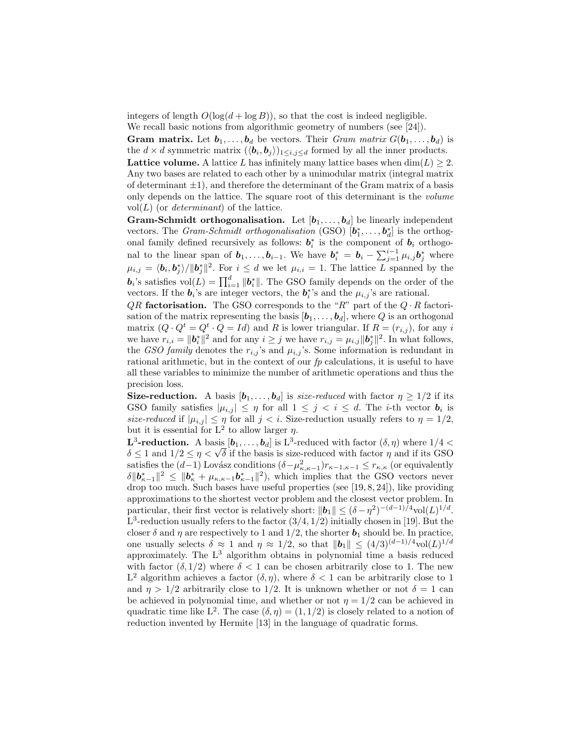integers of length  $O(\log(d + \log B))$ , so that the cost is indeed negligible.

We recall basic notions from algorithmic geometry of numbers (see [24]).

**Gram matrix.** Let  $\mathbf{b}_1, \ldots, \mathbf{b}_d$  be vectors. Their *Gram matrix*  $G(\mathbf{b}_1, \ldots, \mathbf{b}_d)$  is the  $d \times d$  symmetric matrix  $(\langle \boldsymbol{b}_i, \boldsymbol{b}_j \rangle)_{1 \leq i,j \leq d}$  formed by all the inner products. Lattice volume. A lattice L has infinitely many lattice bases when  $\dim(L) \geq 2$ . Any two bases are related to each other by a unimodular matrix (integral matrix of determinant  $\pm 1$ ), and therefore the determinant of the Gram matrix of a basis only depends on the lattice. The square root of this determinant is the volume vol $(L)$  (or *determinant*) of the lattice.

**Gram-Schmidt orthogonalisation.** Let  $[b_1, \ldots, b_d]$  be linearly independent vectors. The *Gram-Schmidt orthogonalisation* (GSO)  $[\mathbf{b}_1^*, \ldots, \mathbf{b}_d^*]$  is the orthogonal family defined recursively as follows:  $\mathbf{b}_i^*$  is the component of  $\mathbf{b}_i$  orthogonal to the linear span of  $b_1, \ldots, b_{i-1}$ . We have  $b_i^* = b_i - \sum_{j=1}^{i-1} \mu_{i,j} b_j^*$  where  $\mu_{i,j} = \langle b_i, b_j^* \rangle / \|b_j^*\|^2$ . For  $i \leq d$  we let  $\mu_{i,i} = 1$ . The lattice L spanned by the  $\mathbf{b}_i$ 's satisfies vol $(L) = \prod_{i=1}^d \|\mathbf{b}_i^*\|$ . The GSO family depends on the order of the vectors. If the  $b_i$ 's are integer vectors, the  $b_i^*$ 's and the  $\mu_{i,j}$ 's are rational.

 $QR$  factorisation. The GSO corresponds to the "R" part of the  $Q \cdot R$  factorisation of the matrix representing the basis  $[\boldsymbol{b}_1, \ldots, \boldsymbol{b}_d]$ , where Q is an orthogonal matrix  $(Q \cdot Q^t = Q^t \cdot Q = Id)$  and R is lower triangular. If  $R = (r_{i,j})$ , for any i we have  $r_{i,i} = \|\mathbf{b}_{i}^{*}\|^{2}$  and for any  $i \geq j$  we have  $r_{i,j} = \mu_{i,j} \|\mathbf{b}_{j}^{*}\|^{2}$ . In what follows, the GSO family denotes the  $r_{i,j}$ 's and  $\mu_{i,j}$ 's. Some information is redundant in rational arithmetic, but in the context of our  $fp$  calculations, it is useful to have all these variables to minimize the number of arithmetic operations and thus the precision loss.

**Size-reduction.** A basis  $[\mathbf{b}_1, \ldots, \mathbf{b}_d]$  is size-reduced with factor  $\eta \geq 1/2$  if its GSO family satisfies  $|\mu_{i,j}| \leq \eta$  for all  $1 \leq j \leq i \leq d$ . The *i*-th vector  $\mathbf{b}_i$  is size-reduced if  $|\mu_{i,j}| \leq \eta$  for all  $j < i$ . Size-reduction usually refers to  $\eta = 1/2$ , but it is essential for  $L^2$  to allow larger  $\eta$ .

**L<sup>3</sup>-reduction.** A basis  $[\mathbf{b}_1,\ldots,\mathbf{b}_d]$  is L<sup>3</sup>-reduced with factor  $(\delta, \eta)$  where  $1/4 <$ **L**<sup>3</sup>-reduction. A basis  $[\mathbf{b}_1, \dots, \mathbf{b}_d]$  is L<sup>3</sup>-reduced with factor  $(\delta, \eta)$  where  $1/4 < \delta \leq 1$  and  $1/2 \leq \eta < \sqrt{\delta}$  if the basis is size-reduced with factor  $\eta$  and if its GSO satisfies the  $(d-1)$  Lovász conditions  $(\delta - \mu_{\kappa,\kappa-1}^2)r_{\kappa-1,\kappa-1} \leq r_{\kappa,\kappa}$  (or equivalently  $\delta \|\mathbf{b}_{\kappa-1}^*\|^2 \leq \|\mathbf{b}_{\kappa}^* + \mu_{\kappa,\kappa-1} \mathbf{b}_{\kappa-1}^*\|^2$ , which implies that the GSO vectors never drop too much. Such bases have useful properties (see [19, 8, 24]), like providing approximations to the shortest vector problem and the closest vector problem. In particular, their first vector is relatively short:  $\|\mathbf{b}_1\| \leq (\delta - \eta^2)^{-(d-1)/4} \text{vol}(L)^{1/d}$ .  $L^3$ -reduction usually refers to the factor  $(3/4, 1/2)$  initially chosen in [19]. But the closer  $\delta$  and  $\eta$  are respectively to 1 and 1/2, the shorter  $\mathbf{b}_1$  should be. In practice, one usually selects  $\delta \approx 1$  and  $\eta \approx 1/2$ , so that  $||\boldsymbol{b}_1|| \leq (4/3)^{(d-1)/4} \text{vol}(L)^{1/d}$ approximately. The  $L^3$  algorithm obtains in polynomial time a basis reduced with factor  $(\delta, 1/2)$  where  $\delta < 1$  can be chosen arbitrarily close to 1. The new L<sup>2</sup> algorithm achieves a factor  $(\delta, \eta)$ , where  $\delta < 1$  can be arbitrarily close to 1 and  $\eta > 1/2$  arbitrarily close to 1/2. It is unknown whether or not  $\delta = 1$  can be achieved in polynomial time, and whether or not  $\eta = 1/2$  can be achieved in quadratic time like L<sup>2</sup>. The case  $(\delta, \eta) = (1, 1/2)$  is closely related to a notion of reduction invented by Hermite [13] in the language of quadratic forms.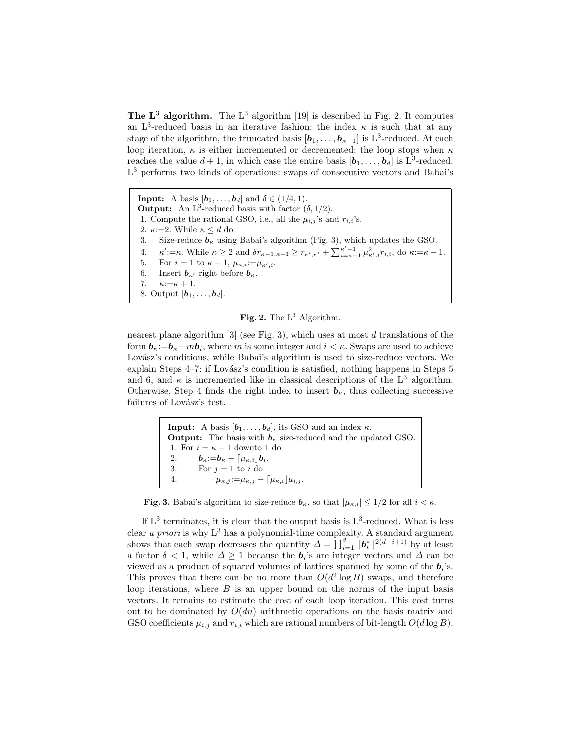The  $\mathbf{L}^3$  algorithm. The  $\mathbf{L}^3$  algorithm [19] is described in Fig. 2. It computes an L<sup>3</sup>-reduced basis in an iterative fashion: the index  $\kappa$  is such that at any stage of the algorithm, the truncated basis  $[b_1, \ldots, b_{\kappa-1}]$  is L<sup>3</sup>-reduced. At each loop iteration,  $\kappa$  is either incremented or decremented: the loop stops when  $\kappa$ reaches the value  $d+1$ , in which case the entire basis  $[\boldsymbol{b}_1,\ldots,\boldsymbol{b}_d]$  is  $L^3$ -reduced. L <sup>3</sup> performs two kinds of operations: swaps of consecutive vectors and Babai's

**Input:** A basis  $[\mathbf{b}_1, \ldots, \mathbf{b}_d]$  and  $\delta \in (1/4, 1)$ . **Output:** An  $L^3$ -reduced basis with factor  $(\delta, 1/2)$ . 1. Compute the rational GSO, i.e., all the  $\mu_{i,j}$ 's and  $r_{i,i}$ 's. 2.  $\kappa:=2$ . While  $\kappa \leq d$  do 3. Size-reduce  $\mathbf{b}_{\kappa}$  using Babai's algorithm (Fig. 3), which updates the GSO. 4.  $\kappa' := \kappa$ . While  $\kappa \geq 2$  and  $\delta r_{\kappa-1,\kappa-1} \geq r_{\kappa',\kappa'} + \sum_{i=\kappa-1}^{\kappa'-1} \mu_{\kappa',i}^2 r_{i,i}$ , do  $\kappa := \kappa - 1$ . 5. For  $i = 1$  to  $\kappa - 1$ ,  $\mu_{\kappa,i} := \mu_{\kappa',i}$ . 6. Insert  $b_{\kappa'}$  right before  $b_{\kappa}$ . 7.  $\kappa:=\kappa+1$ . 8. Output  $[\boldsymbol{b}_1, \ldots, \boldsymbol{b}_d]$ .

Fig. 2. The  $L^3$  Algorithm.

nearest plane algorithm  $[3]$  (see Fig. 3), which uses at most d translations of the form  $\mathbf{b}_{\kappa}:=\mathbf{b}_{\kappa}-m\mathbf{b}_i$ , where m is some integer and  $i < \kappa$ . Swaps are used to achieve Lovász's conditions, while Babai's algorithm is used to size-reduce vectors. We explain Steps  $4-7$ : if Lovász's condition is satisfied, nothing happens in Steps 5 and 6, and  $\kappa$  is incremented like in classical descriptions of the L<sup>3</sup> algorithm. Otherwise, Step 4 finds the right index to insert  $\mathbf{b}_{\kappa}$ , thus collecting successive failures of Lovász's test.

> **Input:** A basis  $[\mathbf{b}_1, \ldots, \mathbf{b}_d]$ , its GSO and an index  $\kappa$ . **Output:** The basis with  $b_{\kappa}$  size-reduced and the updated GSO. 1. For  $i = \kappa - 1$  downto 1 do 2.  $\boldsymbol{b}_{\kappa}:=\boldsymbol{b}_{\kappa}-\left[\mu_{\kappa,i}\right]\boldsymbol{b}_{i}.$ 3. For  $j = 1$  to i do 4.  $\mu_{\kappa,j} := \mu_{\kappa,j} - \left[\mu_{\kappa,i}\right]\mu_{i,j}.$

**Fig. 3.** Babai's algorithm to size-reduce  $\mathbf{b}_{\kappa}$ , so that  $|\mu_{\kappa,i}| \leq 1/2$  for all  $i < \kappa$ .

If  $L^3$  terminates, it is clear that the output basis is  $L^3$ -reduced. What is less clear a priori is why  $L^3$  has a polynomial-time complexity. A standard argument shows that each swap decreases the quantity  $\Delta = \prod_{i=1}^d ||b_i^*||^{2(d-i+1)}$  by at least a factor  $\delta < 1$ , while  $\Delta \geq 1$  because the  $b_i$ 's are integer vectors and  $\Delta$  can be viewed as a product of squared volumes of lattices spanned by some of the  $b_i$ 's. This proves that there can be no more than  $O(d^2 \log B)$  swaps, and therefore loop iterations, where  $B$  is an upper bound on the norms of the input basis vectors. It remains to estimate the cost of each loop iteration. This cost turns out to be dominated by  $O(dn)$  arithmetic operations on the basis matrix and GSO coefficients  $\mu_{i,j}$  and  $r_{i,i}$  which are rational numbers of bit-length  $O(d \log B)$ .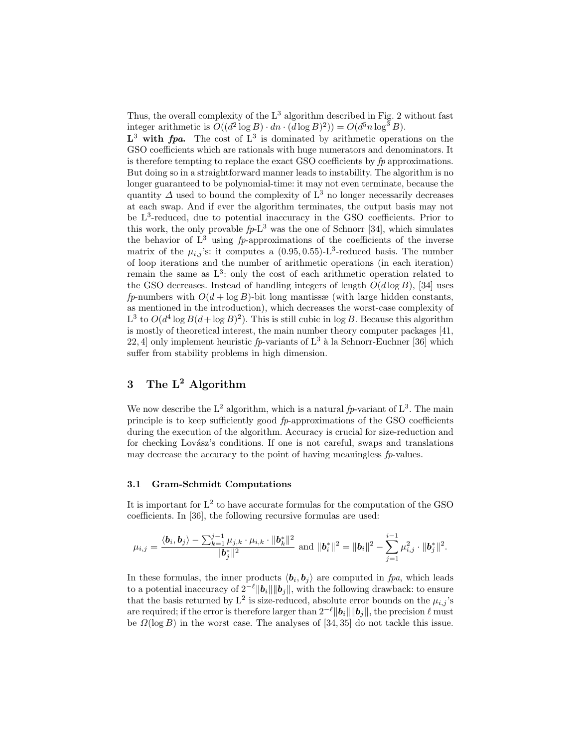Thus, the overall complexity of the  $L^3$  algorithm described in Fig. 2 without fast integer arithmetic is  $O((d^2 \log B) \cdot dn \cdot (d \log B)^2)) = O(d^5 n \log^3 B).$ 

 $\mathbf{L}^3$  with fpa. The cost of  $\mathbf{L}^3$  is dominated by arithmetic operations on the GSO coefficients which are rationals with huge numerators and denominators. It is therefore tempting to replace the exact GSO coefficients by  $fp$  approximations. But doing so in a straightforward manner leads to instability. The algorithm is no longer guaranteed to be polynomial-time: it may not even terminate, because the quantity  $\Delta$  used to bound the complexity of  $L^3$  no longer necessarily decreases at each swap. And if ever the algorithm terminates, the output basis may not be L<sup>3</sup>-reduced, due to potential inaccuracy in the GSO coefficients. Prior to this work, the only provable  $fp-L^3$  was the one of Schnorr [34], which simulates the behavior of  $L^3$  using  $fp$ -approximations of the coefficients of the inverse matrix of the  $\mu_{i,j}$ 's: it computes a  $(0.95, 0.55)$ -L<sup>3</sup>-reduced basis. The number of loop iterations and the number of arithmetic operations (in each iteration) remain the same as  $L^3$ : only the cost of each arithmetic operation related to the GSO decreases. Instead of handling integers of length  $O(d \log B)$ , [34] uses fp-numbers with  $O(d + \log B)$ -bit long mantissæ (with large hidden constants, as mentioned in the introduction), which decreases the worst-case complexity of L<sup>3</sup> to  $O(d^4 \log B(d + \log B)^2)$ . This is still cubic in log B. Because this algorithm is mostly of theoretical interest, the main number theory computer packages [41, 22, 4] only implement heuristic fp-variants of  $L^3$  à la Schnorr-Euchner [36] which suffer from stability problems in high dimension.

# 3 The  $L^2$  Algorithm

We now describe the  $L^2$  algorithm, which is a natural fp-variant of  $L^3$ . The main principle is to keep sufficiently good fp-approximations of the GSO coefficients during the execution of the algorithm. Accuracy is crucial for size-reduction and for checking Lovász's conditions. If one is not careful, swaps and translations may decrease the accuracy to the point of having meaningless  $fp$ -values.

### 3.1 Gram-Schmidt Computations

It is important for  $L^2$  to have accurate formulas for the computation of the GSO coefficients. In [36], the following recursive formulas are used:

$$
\mu_{i,j} = \frac{\langle \mathbf{b}_i, \mathbf{b}_j \rangle - \sum_{k=1}^{j-1} \mu_{j,k} \cdot \mu_{i,k} \cdot \|\mathbf{b}_k^*\|^2}{\|\mathbf{b}_j^*\|^2} \text{ and } \|\mathbf{b}_i^*\|^2 = \|\mathbf{b}_i\|^2 - \sum_{j=1}^{i-1} \mu_{i,j}^2 \cdot \|\mathbf{b}_j^*\|^2.
$$

In these formulas, the inner products  $\langle \mathbf{b}_i, \mathbf{b}_j \rangle$  are computed in fpa, which leads to a potential inaccuracy of  $2^{-\ell} ||b_i|| ||b_j||$ , with the following drawback: to ensure that the basis returned by  $L^2$  is size-reduced, absolute error bounds on the  $\mu_{i,j}$ 's are required; if the error is therefore larger than  $2^{-\ell} ||b_i|| ||b_j||$ , the precision  $\ell$  must be  $\Omega(\log B)$  in the worst case. The analyses of [34, 35] do not tackle this issue.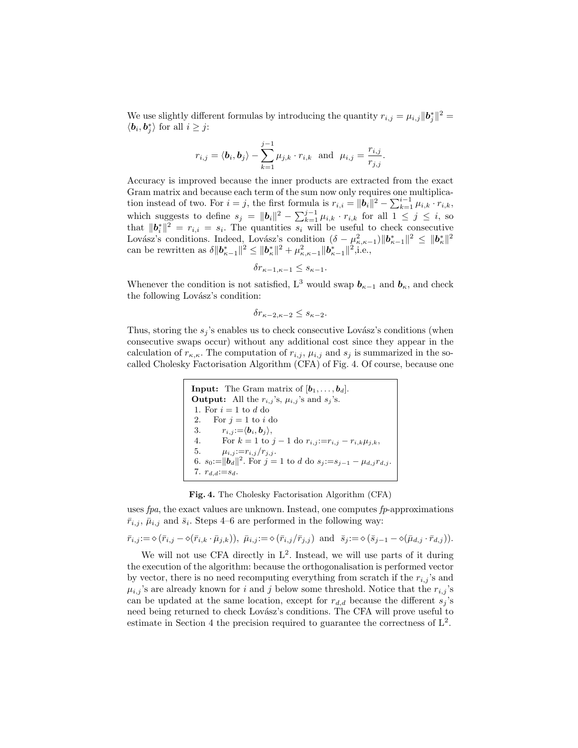We use slightly different formulas by introducing the quantity  $r_{i,j} = \mu_{i,j} ||\boldsymbol{b}_j^*||^2 =$  $\langle \mathbf{b}_i, \mathbf{b}_j^* \rangle$  for all  $i \geq j$ :

$$
r_{i,j} = \langle \mathbf{b}_i, \mathbf{b}_j \rangle - \sum_{k=1}^{j-1} \mu_{j,k} \cdot r_{i,k} \text{ and } \mu_{i,j} = \frac{r_{i,j}}{r_{j,j}}.
$$

Accuracy is improved because the inner products are extracted from the exact Gram matrix and because each term of the sum now only requires one multiplication instead of two. For  $i = j$ , the first formula is  $r_{i,i} = ||\boldsymbol{b}_i||^2 - \sum_{k=1}^{i-1} \mu_{i,k} \cdot r_{i,k}$ , which suggests to define  $s_j = ||\boldsymbol{b}_i||^2 - \sum_{k=1}^{j-1} \mu_{i,k} \cdot r_{i,k}$  for all  $1 \leq j \leq i$ , so that  $||\boldsymbol{b}_i^*||^2 = r_{i,i} = s_i$ . The quantities  $s_i$  will be useful to check consecutive Lovász's conditions. Indeed, Lovász's condition  $(\delta - \mu_{\kappa,\kappa-1}^2) \|\bm{b}_{\kappa-1}^*\|^2 \leq \|\bm{b}_{\kappa}^*\|^2$ can be rewritten as  $\delta \|\bm{b}_{\kappa-1}^*\|^2 \leq \|\bm{b}_{\kappa}^*\|^2 + \mu_{\kappa,\kappa-1}^2 \|\bm{b}_{\kappa-1}^*\|^2,$  i.e.,

$$
\delta r_{\kappa-1,\kappa-1} \leq s_{\kappa-1}.
$$

Whenever the condition is not satisfied, L<sup>3</sup> would swap  $\mathbf{b}_{\kappa-1}$  and  $\mathbf{b}_{\kappa}$ , and check the following Lovász's condition:

$$
\delta r_{\kappa-2,\kappa-2} \le s_{\kappa-2}.
$$

Thus, storing the  $s_j$ 's enables us to check consecutive Lovász's conditions (when consecutive swaps occur) without any additional cost since they appear in the calculation of  $r_{\kappa,\kappa}$ . The computation of  $r_{i,j}$ ,  $\mu_{i,j}$  and  $s_j$  is summarized in the socalled Cholesky Factorisation Algorithm (CFA) of Fig. 4. Of course, because one

> **Input:** The Gram matrix of  $[\mathbf{b}_1, \ldots, \mathbf{b}_d]$ . **Output:** All the  $r_{i,j}$ 's,  $\mu_{i,j}$ 's and  $s_j$ 's. 1. For  $i = 1$  to  $d$  do 2. For  $j = 1$  to i do 3.  $r_{i,j} := \langle \boldsymbol{b}_i, \boldsymbol{b}_j \rangle,$ 4. For  $k = 1$  to  $j - 1$  do  $r_{i,j} := r_{i,j} - r_{i,k} \mu_{j,k}$ , 5.  $\mu_{i,j} := r_{i,j}/r_{j,j}.$ 6.  $s_0 := ||b_d||^2$ . For  $j = 1$  to d do  $s_j := s_{j-1} - \mu_{d,j} r_{d,j}$ . 7.  $r_{d,d} := s_d$ .

Fig. 4. The Cholesky Factorisation Algorithm (CFA)

uses fpa, the exact values are unknown. Instead, one computes fp-approximations  $\bar{r}_{i,j}, \bar{\mu}_{i,j}$  and  $\bar{s}_i$ . Steps 4–6 are performed in the following way:

$$
\bar{r}_{i,j}:=\diamond(\bar{r}_{i,j}-\diamond(\bar{r}_{i,k}\cdot\bar{\mu}_{j,k})),\ \bar{\mu}_{i,j}:=\diamond(\bar{r}_{i,j}/\bar{r}_{j,j})\ \ \text{and}\ \ \bar{s}_j:=\diamond(\bar{s}_{j-1}-\diamond(\bar{\mu}_{d,j}\cdot\bar{r}_{d,j})).
$$

We will not use CFA directly in  $L^2$ . Instead, we will use parts of it during the execution of the algorithm: because the orthogonalisation is performed vector by vector, there is no need recomputing everything from scratch if the  $r_{i,j}$ 's and  $\mu_{i,j}$ 's are already known for i and j below some threshold. Notice that the  $r_{i,j}$ 's can be updated at the same location, except for  $r_{d,d}$  because the different  $s_j$ 's need being returned to check Lovász's conditions. The CFA will prove useful to estimate in Section 4 the precision required to guarantee the correctness of  $L^2$ .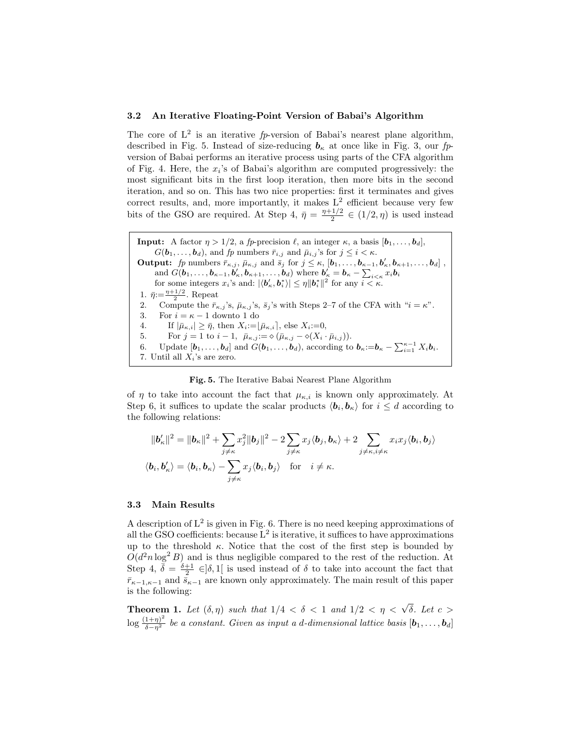#### 3.2 An Iterative Floating-Point Version of Babai's Algorithm

The core of  $L^2$  is an iterative fp-version of Babai's nearest plane algorithm, described in Fig. 5. Instead of size-reducing  $\mathbf{b}_{\kappa}$  at once like in Fig. 3, our fpversion of Babai performs an iterative process using parts of the CFA algorithm of Fig. 4. Here, the  $x_i$ 's of Babai's algorithm are computed progressively: the most significant bits in the first loop iteration, then more bits in the second iteration, and so on. This has two nice properties: first it terminates and gives correct results, and, more importantly, it makes  $L^2$  efficient because very few bits of the GSO are required. At Step 4,  $\bar{\eta} = \frac{\eta + 1/2}{2}$  $\frac{1}{2} \in (1/2, \eta)$  is used instead

**Input:** A factor  $\eta > 1/2$ , a fp-precision  $\ell$ , an integer  $\kappa$ , a basis  $[\mathbf{b}_1, \ldots, \mathbf{b}_d]$ ,  $G(\boldsymbol{b}_1,\ldots,\boldsymbol{b}_d)$ , and fp numbers  $\bar{r}_{i,j}$  and  $\bar{\mu}_{i,j}$ 's for  $j \leq i \leq \kappa$ . **Output:** fp numbers  $\bar{r}_{\kappa,j}$ ,  $\bar{\mu}_{\kappa,j}$  and  $\bar{s}_j$  for  $j \leq \kappa$ ,  $[\mathbf{b}_1, \ldots, \mathbf{b}_{\kappa-1}, \mathbf{b}'_{\kappa}, \mathbf{b}_{\kappa+1}, \ldots, \mathbf{b}_d]$ , and  $G(\boldsymbol{b}_1,\ldots,\boldsymbol{b}_{\kappa-1},\boldsymbol{b}'_\kappa,\boldsymbol{b}_{\kappa+1},\ldots,\boldsymbol{b}_d)$  where  $\boldsymbol{b}'_\kappa = \boldsymbol{b}_\kappa - \sum_{i<\kappa} x_i \boldsymbol{b}_i$ for some integers  $x_i$ 's and:  $|\langle \boldsymbol{b}'_\kappa, \boldsymbol{b}_i^* \rangle| \leq \eta \|\boldsymbol{b}_i^*\|^2$  for any  $i < \kappa$ . 1.  $\bar{\eta} = \frac{\eta + 1/2}{2}$ . Repeat 2. Compute the  $\bar{r}_{\kappa,j}$ 's,  $\bar{\mu}_{\kappa,j}$ 's,  $\bar{s}_j$ 's with Steps 2–7 of the CFA with " $i = \kappa$ ". 3. For  $i = \kappa - 1$  downto 1 do 4. If  $|\bar{\mu}_{\kappa,i}| \geq \bar{\eta}$ , then  $X_i = |\bar{\mu}_{\kappa,i}|$ , else  $X_i := 0$ , 5. For  $j = 1$  to  $i - 1$ ,  $\bar{\mu}_{\kappa,j} := \diamond (\bar{\mu}_{\kappa,j} - \diamond (X_i \cdot \bar{\mu}_{i,j})).$ 6. Update  $[\boldsymbol{b}_1,\ldots,\boldsymbol{b}_d]$  and  $G(\boldsymbol{b}_1,\ldots,\boldsymbol{b}_d)$ , according to  $\boldsymbol{b}_\kappa:=\boldsymbol{b}_\kappa-\sum_{i=1}^{\kappa-1}X_i\boldsymbol{b}_i$ . 7. Until all  $X_i$ 's are zero.

Fig. 5. The Iterative Babai Nearest Plane Algorithm

of  $\eta$  to take into account the fact that  $\mu_{\kappa,i}$  is known only approximately. At Step 6, it suffices to update the scalar products  $\langle \mathbf{b}_i, \mathbf{b}_\kappa \rangle$  for  $i \leq d$  according to the following relations:

$$
\|\boldsymbol{b}'_{\kappa}\|^2 = \|\boldsymbol{b}_{\kappa}\|^2 + \sum_{j \neq \kappa} x_j^2 \|\boldsymbol{b}_j\|^2 - 2 \sum_{j \neq \kappa} x_j \langle \boldsymbol{b}_j, \boldsymbol{b}_{\kappa} \rangle + 2 \sum_{j \neq \kappa, i \neq \kappa} x_i x_j \langle \boldsymbol{b}_i, \boldsymbol{b}_j \rangle
$$
  

$$
\langle \boldsymbol{b}_i, \boldsymbol{b}'_{\kappa} \rangle = \langle \boldsymbol{b}_i, \boldsymbol{b}_{\kappa} \rangle - \sum_{j \neq \kappa} x_j \langle \boldsymbol{b}_i, \boldsymbol{b}_j \rangle \quad \text{for} \quad i \neq \kappa.
$$

#### 3.3 Main Results

A description of  $L^2$  is given in Fig. 6. There is no need keeping approximations of all the GSO coefficients: because  $L^2$  is iterative, it suffices to have approximations up to the threshold  $\kappa$ . Notice that the cost of the first step is bounded by  $O(d^2 n \log^2 B)$  and is thus negligible compared to the rest of the reduction. At Step 4,  $\overline{\delta} = \frac{\delta+1}{2} \in ]\delta,1[$  is used instead of  $\delta$  to take into account the fact that  $\bar{r}_{\kappa-1,\kappa-1}$  and  $\bar{s}_{\kappa-1}$  are known only approximately. The main result of this paper is the following:

**Theorem 1.** Let  $(\delta, \eta)$  such that  $1/4 < \delta < 1$  and  $1/2 < \eta < \sqrt{\delta}$ . Let  $c >$  $\log \frac{(1+\eta)^2}{\delta-\eta^2}$  be a constant. Given as input a d-dimensional lattice basis  $[\boldsymbol{b}_1,\ldots,\boldsymbol{b}_d]$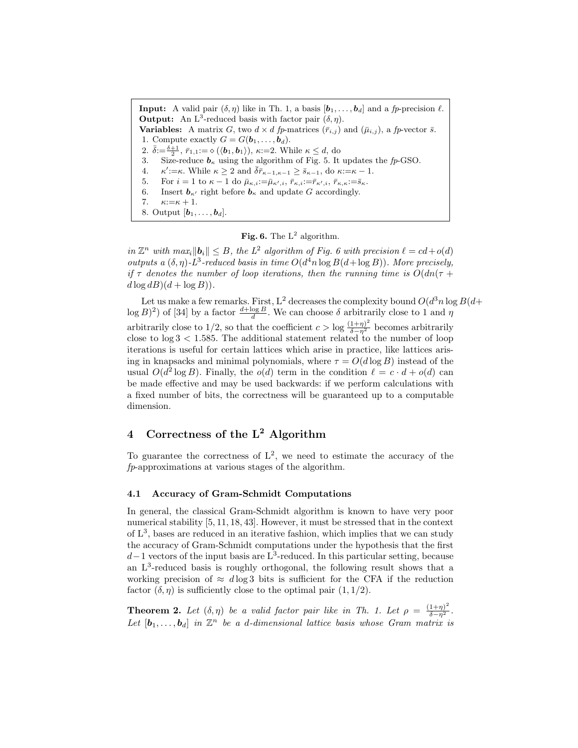**Input:** A valid pair  $(\delta, \eta)$  like in Th. 1, a basis  $[\boldsymbol{b}_1, \ldots, \boldsymbol{b}_d]$  and a fp-precision  $\ell$ . **Output:** An L<sup>3</sup>-reduced basis with factor pair  $(\delta, \eta)$ . **Variables:** A matrix G, two  $d \times d$  fp-matrices  $(\bar{r}_{i,j})$  and  $(\bar{\mu}_{i,j})$ , a fp-vector  $\bar{s}$ . 1. Compute exactly  $G = G(\boldsymbol{b}_1, \ldots, \boldsymbol{b}_d)$ . 2.  $\bar{\delta} = \frac{\delta+1}{2}$ ,  $\bar{r}_{1,1} := \diamond (\langle \mathbf{b}_1, \mathbf{b}_1 \rangle)$ ,  $\kappa = 2$ . While  $\kappa \leq d$ , do 3. Size-reduce  $b_{\kappa}$  using the algorithm of Fig. 5. It updates the fp-GSO. 4.  $\kappa' := \kappa$ . While  $\kappa \geq 2$  and  $\overline{\delta r}_{\kappa-1,\kappa-1} \geq \overline{s}_{\kappa-1},$  do  $\kappa := \kappa - 1$ . 5. For  $i = 1$  to  $\kappa - 1$  do  $\bar{\mu}_{\kappa,i} := \bar{\mu}_{\kappa',i}, \bar{r}_{\kappa,i} := \bar{r}_{\kappa',i}, \bar{r}_{\kappa,\kappa} := \bar{s}_{\kappa}.$ 6. Insert  $b_{\kappa}$  right before  $b_{\kappa}$  and update G accordingly. 7.  $\kappa:=\kappa+1$ . 8. Output  $[\boldsymbol{b}_1, \ldots, \boldsymbol{b}_d]$ .

### Fig. 6. The  $L^2$  algorithm.

in  $\mathbb{Z}^n$  with  $\max_i \|\mathbf{b}_i\| \leq B$ , the  $L^2$  algorithm of Fig. 6 with precision  $\ell = cd + o(d)$ outputs a  $(\delta, \eta)$ -L<sup>3</sup>-reduced basis in time  $O(d^4 n \log B(d + \log B))$ . More precisely, if  $\tau$  denotes the number of loop iterations, then the running time is  $O(dn(\tau +$  $d \log dB$  $(d + \log B)$ .

Let us make a few remarks. First, L<sup>2</sup> decreases the complexity bound  $O(d^3 n \log B(d+))$  $\log B$ <sup>2</sup>) of [34] by a factor  $\frac{d + \log B}{d}$ . We can choose  $\delta$  arbitrarily close to 1 and  $\eta$ arbitrarily close to 1/2, so that the coefficient  $c > \log \frac{(1+\eta)^2}{\delta - \eta^2}$  becomes arbitrarily close to  $log 3 < 1.585$ . The additional statement related to the number of loop iterations is useful for certain lattices which arise in practice, like lattices arising in knapsacks and minimal polynomials, where  $\tau = O(d \log B)$  instead of the usual  $O(d^2 \log B)$ . Finally, the  $o(d)$  term in the condition  $\ell = c \cdot d + o(d)$  can be made effective and may be used backwards: if we perform calculations with a fixed number of bits, the correctness will be guaranteed up to a computable dimension.

# 4 Correctness of the  $L^2$  Algorithm

To guarantee the correctness of  $L^2$ , we need to estimate the accuracy of the fp-approximations at various stages of the algorithm.

#### 4.1 Accuracy of Gram-Schmidt Computations

In general, the classical Gram-Schmidt algorithm is known to have very poor numerical stability [5, 11, 18, 43]. However, it must be stressed that in the context of  $L^3$ , bases are reduced in an iterative fashion, which implies that we can study the accuracy of Gram-Schmidt computations under the hypothesis that the first  $d-1$  vectors of the input basis are L<sup>3</sup>-reduced. In this particular setting, because an L<sup>3</sup> -reduced basis is roughly orthogonal, the following result shows that a working precision of  $\approx$  dlog 3 bits is sufficient for the CFA if the reduction factor  $(\delta, \eta)$  is sufficiently close to the optimal pair  $(1, 1/2)$ .

**Theorem 2.** Let  $(\delta, \eta)$  be a valid factor pair like in Th. 1. Let  $\rho = \frac{(1+\eta)^2}{\delta - \eta^2}$ . Let  $[\mathbf{b}_1,\ldots,\mathbf{b}_d]$  in  $\mathbb{Z}^n$  be a d-dimensional lattice basis whose Gram matrix is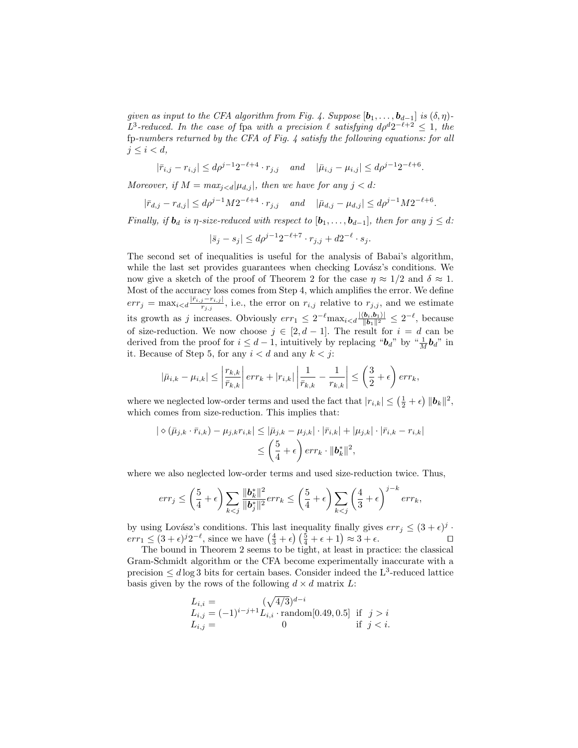given as input to the CFA algorithm from Fig. 4. Suppose  $[\mathbf{b}_1, \ldots, \mathbf{b}_{d-1}]$  is  $(\delta, \eta)$ -L<sup>3</sup>-reduced. In the case of fpa with a precision  $\ell$  satisfying  $d\rho^d 2^{-\ell+2} \leq 1$ , the fp-numbers returned by the CFA of Fig. 4 satisfy the following equations: for all  $j \leq i < d$ ,

$$
|\bar{r}_{i,j} - r_{i,j}| \le d\rho^{j-1} 2^{-\ell+4} \cdot r_{j,j}
$$
 and  $|\bar{\mu}_{i,j} - \mu_{i,j}| \le d\rho^{j-1} 2^{-\ell+6}$ .

Moreover, if  $M = max_{j < d} |\mu_{d,j}|$ , then we have for any  $j < d$ :

$$
|\bar{r}_{d,j} - r_{d,j}| \le d\rho^{j-1} M 2^{-\ell+4} \cdot r_{j,j} \quad and \quad |\bar{\mu}_{d,j} - \mu_{d,j}| \le d\rho^{j-1} M 2^{-\ell+6}.
$$

Finally, if  $\mathbf{b}_d$  is  $\eta$ -size-reduced with respect to  $[\mathbf{b}_1, \ldots, \mathbf{b}_{d-1}]$ , then for any  $j \leq d$ :

$$
|\bar{s}_j - s_j| \le d\rho^{j-1} 2^{-\ell+7} \cdot r_{j,j} + d2^{-\ell} \cdot s_j.
$$

The second set of inequalities is useful for the analysis of Babai's algorithm, while the last set provides guarantees when checking Lovász's conditions. We now give a sketch of the proof of Theorem 2 for the case  $\eta \approx 1/2$  and  $\delta \approx 1$ . Most of the accuracy loss comes from Step 4, which amplifies the error. We define  $err_j = \max_{i < d} \frac{|\bar{r}_{i,j} - r_{i,j}|}{r_{i,j}}$  $\frac{j-r_{i,j}}{r_{j,j}}$ , i.e., the error on  $r_{i,j}$  relative to  $r_{j,j}$ , and we estimate its growth as j increases. Obviously  $err_1 \leq 2^{-\ell} \max_{i < d} \frac{|\langle b_i, b_1 \rangle|}{\|\mathbf{b}_1\|^2} \leq 2^{-\ell}$ , because of size-reduction. We now choose  $j \in [2, d-1]$ . The result for  $i = d$  can be derived from the proof for  $i \leq d-1$ , intuitively by replacing " $\boldsymbol{b}_d$ " by " $\frac{1}{M} \boldsymbol{b}_d$ " in it. Because of Step 5, for any  $i < d$  and any  $k < j$ :

$$
|\bar{\mu}_{i,k} - \mu_{i,k}| \le \left| \frac{r_{k,k}}{\bar{r}_{k,k}} \right| err_k + |r_{i,k}| \left| \frac{1}{\bar{r}_{k,k}} - \frac{1}{r_{k,k}} \right| \le \left( \frac{3}{2} + \epsilon \right) err_k,
$$

where we neglected low-order terms and used the fact that  $|r_{i,k}| \leq (\frac{1}{2} + \epsilon) ||\boldsymbol{b}_k||^2$ , which comes from size-reduction. This implies that:

$$
\begin{aligned} |\diamond (\bar{\mu}_{j,k} \cdot \bar{r}_{i,k}) - \mu_{j,k} r_{i,k}| &\leq |\bar{\mu}_{j,k} - \mu_{j,k}| \cdot |\bar{r}_{i,k}| + |\mu_{j,k}| \cdot |\bar{r}_{i,k} - r_{i,k}| \\ &\leq \left(\frac{5}{4} + \epsilon\right) \text{err}_{k} \cdot \|\mathbf{b}_{k}^{*}\|^{2}, \end{aligned}
$$

where we also neglected low-order terms and used size-reduction twice. Thus,

$$
err_j \le \left(\frac{5}{4} + \epsilon\right) \sum_{k < j} \frac{\|\boldsymbol{b}_k^*\|^2}{\|\boldsymbol{b}_j^*\|^2} err_k \le \left(\frac{5}{4} + \epsilon\right) \sum_{k < j} \left(\frac{4}{3} + \epsilon\right)^{j-k} err_k,
$$

by using Lovász's conditions. This last inequality finally gives  $err_j \leq (3 + \epsilon)^j$ .  $err_1 \leq (3 + \epsilon)^j 2^{-\ell}$ , since we have  $\left(\frac{4}{3} + \epsilon\right) \left(\frac{5}{4} + \epsilon + 1\right) \approx 3 + \epsilon$ .

The bound in Theorem 2 seems to be tight, at least in practice: the classical Gram-Schmidt algorithm or the CFA become experimentally inaccurate with a precision  $\leq d \log 3$  bits for certain bases. Consider indeed the L<sup>3</sup>-reduced lattice basis given by the rows of the following  $d \times d$  matrix L:

$$
L_{i,i} = (\sqrt{4/3})^{d-i}
$$
  
\n
$$
L_{i,j} = (-1)^{i-j+1} L_{i,i} \cdot \text{random}[0.49, 0.5] \text{ if } j > i
$$
  
\n
$$
L_{i,j} = 0 \text{ if } j < i.
$$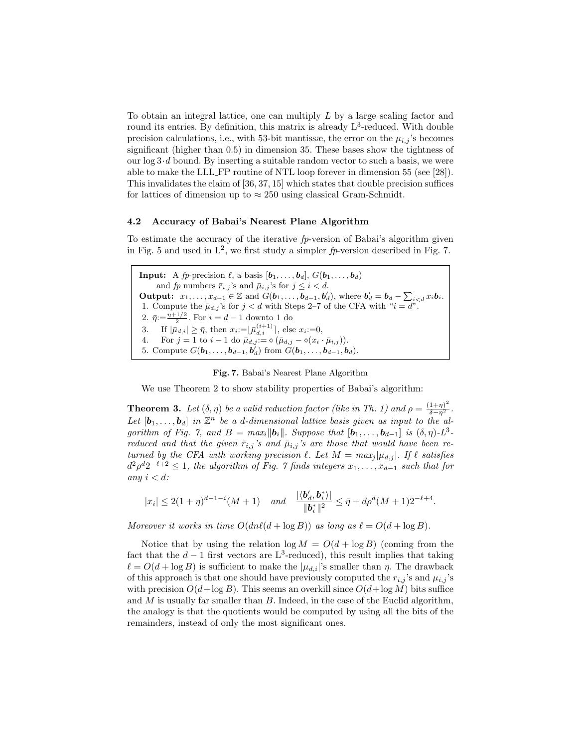To obtain an integral lattice, one can multiply L by a large scaling factor and round its entries. By definition, this matrix is already  $L^3$ -reduced. With double precision calculations, i.e., with 53-bit mantissæ, the error on the  $\mu_{i,j}$ 's becomes significant (higher than 0.5) in dimension 35. These bases show the tightness of our  $\log 3 \cdot d$  bound. By inserting a suitable random vector to such a basis, we were able to make the LLL FP routine of NTL loop forever in dimension 55 (see [28]). This invalidates the claim of [36, 37, 15] which states that double precision suffices for lattices of dimension up to  $\approx 250$  using classical Gram-Schmidt.

### 4.2 Accuracy of Babai's Nearest Plane Algorithm

To estimate the accuracy of the iterative  $fp$ -version of Babai's algorithm given in Fig. 5 and used in  $L^2$ , we first study a simpler  $fp$ -version described in Fig. 7.

**Input:** A *fp*-precision  $\ell$ , a basis  $[\boldsymbol{b}_1, \ldots, \boldsymbol{b}_d], G(\boldsymbol{b}_1, \ldots, \boldsymbol{b}_d)$ and fp numbers  $\bar{r}_{i,j}$ 's and  $\bar{\mu}_{i,j}$ 's for  $j \leq i < d$ . Output:  $x_1, \ldots, x_{d-1} \in \mathbb{Z}$  and  $\tilde{G}(\boldsymbol{b}_1, \ldots, \boldsymbol{b}_{d-1}, \boldsymbol{b}'_d)$ , where  $\boldsymbol{b}'_d = \boldsymbol{b}_d - \sum_{i < d} x_i \boldsymbol{b}_i$ . 1. Compute the  $\bar{\mu}_{d,j}$ 's for  $j < d$  with Steps 2–7 of the CFA with " $i = d$ ". 2.  $\bar{\eta} = \frac{\eta + 1/2}{2}$ . For  $i = d - 1$  downto 1 do 3. If  $|\bar{\mu}_{d,i}| \geq \bar{\eta}$ , then  $x_i := \lfloor \bar{\mu}_{d,i}^{(i+1)} \rfloor$ , else  $x_i := 0$ , 4. For  $j = 1$  to  $i - 1$  do  $\bar{\mu}_{d,j} := \diamond (\bar{\mu}_{d,j} - \diamond(x_i \cdot \bar{\mu}_{i,j})).$ 5. Compute  $G(b_1, ..., b_{d-1}, b_d)$  from  $G(b_1, ..., b_{d-1}, b_d)$ .

Fig. 7. Babai's Nearest Plane Algorithm

We use Theorem 2 to show stability properties of Babai's algorithm:

**Theorem 3.** Let  $(\delta, \eta)$  be a valid reduction factor (like in Th. 1) and  $\rho = \frac{(1+\eta)^2}{\delta - \eta^2}$ . Let  $[\mathbf{b}_1,\ldots,\mathbf{b}_d]$  in  $\mathbb{Z}^n$  be a d-dimensional lattice basis given as input to the algorithm of Fig. 7, and  $B = max_i ||b_i||$ . Suppose that  $[b_1, \ldots, b_{d-1}]$  is  $(\delta, \eta)$ - $L^3$ reduced and that the given  $\bar{r}_{i,j}$ 's and  $\bar{\mu}_{i,j}$ 's are those that would have been returned by the CFA with working precision  $\ell$ . Let  $M = max_i |\mu_{d,j}|$ . If  $\ell$  satisfies  $d^2\rho^d2^{-\ell+2} \leq 1$ , the algorithm of Fig. 7 finds integers  $x_1, \ldots, x_{d-1}$  such that for any  $i < d$ :

$$
|x_i| \leq 2(1+\eta)^{d-1-i}(M+1)
$$
 and  $\frac{|\langle b'_d, b_i^* \rangle|}{||b_i^*||^2} \leq \bar{\eta} + d\rho^d(M+1)2^{-\ell+4}.$ 

Moreover it works in time  $O(d n \ell (d + \log B))$  as long as  $\ell = O(d + \log B)$ .

Notice that by using the relation  $\log M = O(d + \log B)$  (coming from the fact that the  $d-1$  first vectors are L<sup>3</sup>-reduced), this result implies that taking  $\ell = O(d + \log B)$  is sufficient to make the  $|\mu_{d,i}|$ 's smaller than  $\eta$ . The drawback of this approach is that one should have previously computed the  $r_{i,j}$ 's and  $\mu_{i,j}$ 's with precision  $O(d + \log B)$ . This seems an overkill since  $O(d + \log M)$  bits suffice and  $M$  is usually far smaller than  $B$ . Indeed, in the case of the Euclid algorithm, the analogy is that the quotients would be computed by using all the bits of the remainders, instead of only the most significant ones.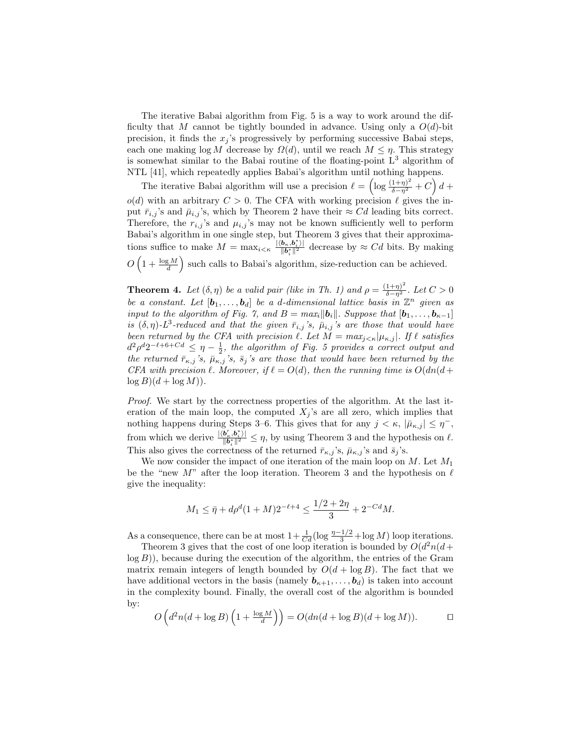The iterative Babai algorithm from Fig. 5 is a way to work around the difficulty that M cannot be tightly bounded in advance. Using only a  $O(d)$ -bit precision, it finds the  $x_i$ 's progressively by performing successive Babai steps, each one making  $log M$  decrease by  $\Omega(d)$ , until we reach  $M \leq \eta$ . This strategy is somewhat similar to the Babai routine of the floating-point  $L<sup>3</sup>$  algorithm of NTL [41], which repeatedly applies Babai's algorithm until nothing happens.

The iterative Babai algorithm will use a precision  $\ell = \left(\log \frac{(1+\eta)^2}{\delta - \eta^2} + C\right) d +$  $o(d)$  with an arbitrary  $C > 0$ . The CFA with working precision  $\ell$  gives the input  $\bar{r}_{i,j}$ 's and  $\bar{\mu}_{i,j}$ 's, which by Theorem 2 have their  $\approx Cd$  leading bits correct. Therefore, the  $r_{i,j}$ 's and  $\mu_{i,j}$ 's may not be known sufficiently well to perform Babai's algorithm in one single step, but Theorem 3 gives that their approximations suffice to make  $M = \max_{i \leq \kappa} \frac{|\langle \mathbf{b}_{\kappa}, \mathbf{b}_{i}^{*} \rangle|}{\|\mathbf{b}_{i}^{*}\|^{2}}$  $\frac{\partial_{\kappa}, \partial_{i}}{\|\mathbf{b}_{i}^{*}\|^{2}}$  decrease by  $\approx Cd$  bits. By making  $O\left(1+\frac{\log M}{d}\right)$  such calls to Babai's algorithm, size-reduction can be achieved.

**Theorem 4.** Let  $(\delta, \eta)$  be a valid pair (like in Th. 1) and  $\rho = \frac{(1+\eta)^2}{\delta - \eta^2}$ . Let  $C > 0$ be a constant. Let  $[\mathbf{b}_1,\ldots,\mathbf{b}_d]$  be a d-dimensional lattice basis in  $\mathbb{Z}^n$  given as input to the algorithm of Fig. 7, and  $B = max_i ||b_i||$ . Suppose that  $[b_1, \ldots, b_{\kappa-1}]$ is  $(\delta, \eta)$ -L<sup>3</sup>-reduced and that the given  $\bar{r}_{i,j}$ 's,  $\bar{\mu}_{i,j}$ 's are those that would have been returned by the CFA with precision  $\ell$ . Let  $M = max_{j \lt k} |\mu_{\kappa,j}|$ . If  $\ell$  satisfies  $d^2\rho^d2^{-\ell+6+Cd} \leq \eta-\frac{1}{2}$ , the algorithm of Fig. 5 provides a correct output and the returned  $\bar{r}_{\kappa,j}$ 's,  $\bar{\mu}_{\kappa,j}$ 's,  $\bar{s}_j$ 's are those that would have been returned by the CFA with precision  $\ell$ . Moreover, if  $\ell = O(d)$ , then the running time is  $O(dn(d+\ell))$  $\log B$  $(d + \log M)$ .

Proof. We start by the correctness properties of the algorithm. At the last iteration of the main loop, the computed  $X_j$ 's are all zero, which implies that nothing happens during Steps 3–6. This gives that for any  $j < \kappa$ ,  $|\bar{\mu}_{\kappa,j}| \leq \eta^{-}$ , from which we derive  $\frac{|\langle \mathbf{b}'_{\kappa}, \mathbf{b}_{i}^* \rangle|}{\|\mathbf{b}^*\|^2}$  $\frac{\partial_{\kappa}, \partial_{i}}{\|\bm{b}_{i}^{*}\|^{2}} \leq \eta$ , by using Theorem 3 and the hypothesis on  $\ell$ . This also gives the correctness of the returned  $\bar{r}_{\kappa,j}$ 's,  $\bar{\mu}_{\kappa,j}$ 's and  $\bar{s}_j$ 's.

We now consider the impact of one iteration of the main loop on  $M$ . Let  $M_1$ be the "new M" after the loop iteration. Theorem 3 and the hypothesis on  $\ell$ give the inequality:

$$
M_1 \leq \bar{\eta} + d\rho^d (1+M) 2^{-\ell+4} \leq \frac{1/2 + 2\eta}{3} + 2^{-Cd} M.
$$

As a consequence, there can be at most  $1 + \frac{1}{Cd} (\log \frac{n-1/2}{3} + \log M)$  loop iterations.

Theorem 3 gives that the cost of one loop iteration is bounded by  $O(d^2n(d+\alpha))$  $log B$ ), because during the execution of the algorithm, the entries of the Gram matrix remain integers of length bounded by  $O(d + \log B)$ . The fact that we have additional vectors in the basis (namely  $\mathbf{b}_{\kappa+1}, \ldots, \mathbf{b}_d$ ) is taken into account in the complexity bound. Finally, the overall cost of the algorithm is bounded by:

$$
O\left(d^2n(d+\log B)\left(1+\frac{\log M}{d}\right)\right) = O(dn(d+\log B)(d+\log M)).\qquad \Box
$$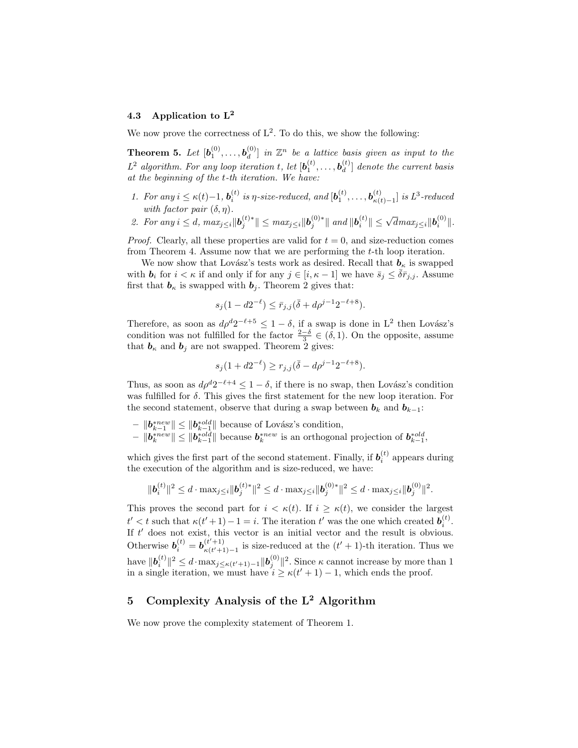## 4.3 Application to L<sup>2</sup>

We now prove the correctness of  $L^2$ . To do this, we show the following:

Theorem 5. Let  $[\boldsymbol{b}_1^{(0)},\ldots,\boldsymbol{b}_d^{(0)}]$  $\left[ \begin{smallmatrix} (0) \ d \end{smallmatrix} \right]$  in  $\mathbb{Z}^n$  be a lattice basis given as input to the  $L^2$  algorithm. For any loop iteration t, let  $[\boldsymbol{b}_1^{(t)}, \ldots, \boldsymbol{b}_d^{(t)}]$  $\binom{u}{d}$  denote the current basis at the beginning of the t-th iteration. We have:

- 1. For any  $i \leq \kappa(t) 1$ ,  $\mathbf{b}_i^{(t)}$  is  $\eta$ -size-reduced, and  $[\mathbf{b}_1^{(t)}, \dots, \mathbf{b}_{\kappa(t)}^{(t)}]$  $\binom{t}{\kappa(t)-1}$  is  $L^3$ -reduced with factor pair  $(\delta, \eta)$ .
- 2. For any  $i \leq d$ ,  $max_{j \leq i} ||\mathbf{b}_{j}^{(t)*}|| \leq max_{j \leq i} ||\mathbf{b}_{j}^{(0)*}||$  and  $||\mathbf{b}_{i}^{(t)}|| \leq \sqrt{d}max_{j \leq i} ||\mathbf{b}_{i}^{(0)}||$ .

*Proof.* Clearly, all these properties are valid for  $t = 0$ , and size-reduction comes from Theorem 4. Assume now that we are performing the t-th loop iteration.

We now show that Lovász's tests work as desired. Recall that  $b_{\kappa}$  is swapped with  $b_i$  for  $i < \kappa$  if and only if for any  $j \in [i, \kappa - 1]$  we have  $\bar{s}_j \leq \bar{\delta} \bar{r}_{j,j}$ . Assume first that  $\mathbf{b}_{\kappa}$  is swapped with  $\mathbf{b}_{i}$ . Theorem 2 gives that:

$$
s_j(1 - d2^{-\ell}) \le \bar{r}_{j,j}(\bar{\delta} + d\rho^{j-1}2^{-\ell+8}).
$$

Therefore, as soon as  $d\rho^d 2^{-\ell+5} \leq 1 - \delta$ , if a swap is done in L<sup>2</sup> then Lovász's condition was not fulfilled for the factor  $\frac{2-\delta}{3} \in (\delta, 1)$ . On the opposite, assume that  $\mathbf{b}_{\kappa}$  and  $\mathbf{b}_{j}$  are not swapped. Theorem 2 gives:

$$
s_j(1 + d2^{-\ell}) \ge r_{j,j}(\bar{\delta} - d\rho^{j-1}2^{-\ell+8}).
$$

Thus, as soon as  $d\rho^d 2^{-\ell+4} \leq 1 - \delta$ , if there is no swap, then Lovász's condition was fulfilled for  $\delta$ . This gives the first statement for the new loop iteration. For the second statement, observe that during a swap between  $\mathbf{b}_k$  and  $\mathbf{b}_{k-1}$ :

- $||\mathbf{b}_{k-1}^{*new}|| \le ||\mathbf{b}_{k-1}^{*old}||$  because of Lovász's condition,
- $\|b_k^{*new}\| \le \|b_{k-1}^{*old}\|$  because  $b_k^{*new}$  is an orthogonal projection of  $b_{k-1}^{*old}$ ,

which gives the first part of the second statement. Finally, if  $b_i^{(t)}$  appears during the execution of the algorithm and is size-reduced, we have:

$$
\|\bm{b}_i^{(t)}\|^2 \leq d\cdot \max_{j\leq i}\|\bm{b}_j^{(t)*}\|^2 \leq d\cdot \max_{j\leq i}\|\bm{b}_j^{(0)*}\|^2 \leq d\cdot \max_{j\leq i}\|\bm{b}_j^{(0)}\|^2.
$$

This proves the second part for  $i < \kappa(t)$ . If  $i \geq \kappa(t)$ , we consider the largest  $t' < t$  such that  $\kappa(t'+1)-1 = i$ . The iteration  $t'$  was the one which created  $\boldsymbol{b}_i^{(t)}$ . If  $t'$  does not exist, this vector is an initial vector and the result is obvious. Otherwise  $\mathbf{b}_i^{(t)} = \mathbf{b}_{\kappa(t'+1)}^{(t'+1)}$  $\frac{(t'+1)}{\kappa(t'+1)-1}$  is size-reduced at the  $(t'+1)$ -th iteration. Thus we have  $\|\bm{b}_i^{(t)}\|^2 \le d \cdot \max_{j \le \kappa(t'+1)-1} \|\bm{b}_j^{(0)}\|^2$ . Since  $\kappa$  cannot increase by more than 1 in a single iteration, we must have  $i \geq \kappa(t'+1)-1$ , which ends the proof.

## 5 Complexity Analysis of the  $L^2$  Algorithm

We now prove the complexity statement of Theorem 1.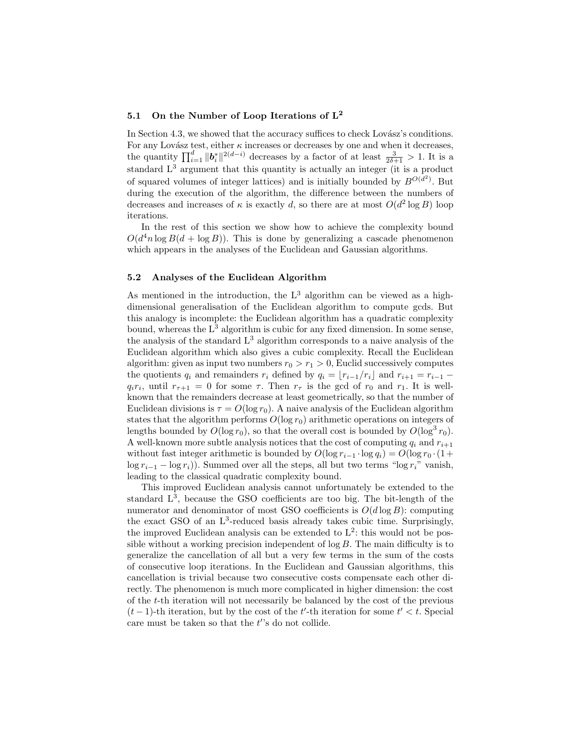# 5.1 On the Number of Loop Iterations of  $L^2$

In Section 4.3, we showed that the accuracy suffices to check Lovász's conditions. For any Lovász test, either  $\kappa$  increases or decreases by one and when it decreases, the quantity  $\prod_{i=1}^d ||b_i^*||^{2(d-i)}$  decreases by a factor of at least  $\frac{3}{2\delta+1} > 1$ . It is a standard  $L^3$  argument that this quantity is actually an integer (it is a product of squared volumes of integer lattices) and is initially bounded by  $B^{O(d^2)}$ . But during the execution of the algorithm, the difference between the numbers of decreases and increases of  $\kappa$  is exactly d, so there are at most  $O(d^2 \log B)$  loop iterations.

In the rest of this section we show how to achieve the complexity bound  $O(d^4 n \log B(d + \log B))$ . This is done by generalizing a cascade phenomenon which appears in the analyses of the Euclidean and Gaussian algorithms.

### 5.2 Analyses of the Euclidean Algorithm

As mentioned in the introduction, the  $L^3$  algorithm can be viewed as a highdimensional generalisation of the Euclidean algorithm to compute gcds. But this analogy is incomplete: the Euclidean algorithm has a quadratic complexity bound, whereas the  $L^3$  algorithm is cubic for any fixed dimension. In some sense, the analysis of the standard  $L<sup>3</sup>$  algorithm corresponds to a naive analysis of the Euclidean algorithm which also gives a cubic complexity. Recall the Euclidean algorithm: given as input two numbers  $r_0 > r_1 > 0$ , Euclid successively computes the quotients  $q_i$  and remainders  $r_i$  defined by  $q_i = \lfloor r_{i-1}/r_i \rfloor$  and  $r_{i+1} = r_{i-1}$  –  $q_i r_i$ , until  $r_{\tau+1} = 0$  for some  $\tau$ . Then  $r_{\tau}$  is the gcd of  $r_0$  and  $r_1$ . It is wellknown that the remainders decrease at least geometrically, so that the number of Euclidean divisions is  $\tau = O(\log r_0)$ . A naive analysis of the Euclidean algorithm states that the algorithm performs  $O(\log r_0)$  arithmetic operations on integers of lengths bounded by  $O(\log r_0)$ , so that the overall cost is bounded by  $O(\log^3 r_0)$ . A well-known more subtle analysis notices that the cost of computing  $q_i$  and  $r_{i+1}$ without fast integer arithmetic is bounded by  $O(\log r_{i-1} \cdot \log q_i) = O(\log r_0 \cdot (1+\epsilon))$  $\log r_{i-1} - \log r_i$ )). Summed over all the steps, all but two terms "log  $r_i$ " vanish, leading to the classical quadratic complexity bound.

This improved Euclidean analysis cannot unfortunately be extended to the standard  $L^3$ , because the GSO coefficients are too big. The bit-length of the numerator and denominator of most GSO coefficients is  $O(d \log B)$ : computing the exact GSO of an  $L^3$ -reduced basis already takes cubic time. Surprisingly, the improved Euclidean analysis can be extended to  $L^2$ : this would not be possible without a working precision independent of  $\log B$ . The main difficulty is to generalize the cancellation of all but a very few terms in the sum of the costs of consecutive loop iterations. In the Euclidean and Gaussian algorithms, this cancellation is trivial because two consecutive costs compensate each other directly. The phenomenon is much more complicated in higher dimension: the cost of the t-th iteration will not necessarily be balanced by the cost of the previous  $(t-1)$ -th iteration, but by the cost of the t'-th iteration for some  $t' < t$ . Special care must be taken so that the  $t$ 's do not collide.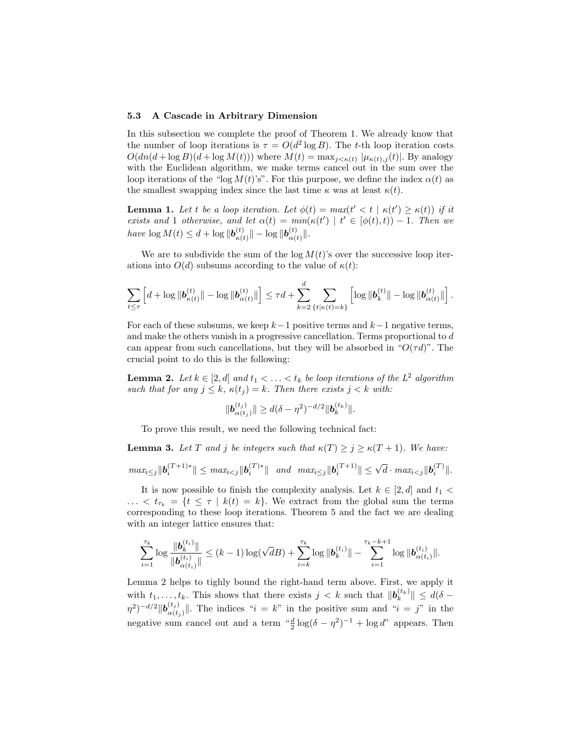#### 5.3 A Cascade in Arbitrary Dimension

In this subsection we complete the proof of Theorem 1. We already know that the number of loop iterations is  $\tau = O(d^2 \log B)$ . The t-th loop iteration costs  $O(dn(d + \log B)(d + \log M(t)))$  where  $M(t) = \max_{j \le \kappa(t)} |\mu_{\kappa(t),j}(t)|$ . By analogy with the Euclidean algorithm, we make terms cancel out in the sum over the loop iterations of the "log  $M(t)$ 's". For this purpose, we define the index  $\alpha(t)$  as the smallest swapping index since the last time  $\kappa$  was at least  $\kappa(t)$ .

**Lemma 1.** Let t be a loop iteration. Let  $\phi(t) = max(t' < t | \kappa(t') \geq \kappa(t))$  if it exists and 1 otherwise, and let  $\alpha(t) = min(\kappa(t') | t' \in [\phi(t), t)] - 1$ . Then we have  $\log M(t) \leq d + \log \|\mathbf{b}_{\epsilon(t)}^{(t)}\|$  $\frac{d(t)}{d\kappa(t)}\|-\log\|\bm{b}_{\alpha(t)}^{(t)}\|$  $\alpha(t)$ .

We are to subdivide the sum of the  $\log M(t)$ 's over the successive loop iterations into  $O(d)$  subsums according to the value of  $\kappa(t)$ :

$$
\sum_{t\leq\tau}\left[d+\log\|\bm{b}^{(t)}_{\kappa(t)}\|-\log\|\bm{b}^{(t)}_{\alpha(t)}\|\right]\leq\tau d+\sum_{k=2}^d\sum_{\{t|\kappa(t)=k\}}\left[\log\|\bm{b}^{(t)}_k\|-\log\|\bm{b}^{(t)}_{\alpha(t)}\|\right].
$$

For each of these subsums, we keep  $k-1$  positive terms and  $k-1$  negative terms, and make the others vanish in a progressive cancellation. Terms proportional to d can appear from such cancellations, but they will be absorbed in " $O(\tau d)$ ". The crucial point to do this is the following:

**Lemma 2.** Let  $k \in [2, d]$  and  $t_1 < \ldots < t_k$  be loop iterations of the  $L^2$  algorithm such that for any  $j \leq k$ ,  $\kappa(t_j) = k$ . Then there exists  $j < k$  with:

$$
\|\mathbf{b}_{\alpha(t_j)}^{(t_j)}\| \ge d(\delta - \eta^2)^{-d/2} \|\mathbf{b}_k^{(t_k)}\|.
$$

To prove this result, we need the following technical fact:

with an integer lattice ensures that:

**Lemma 3.** Let T and j be integers such that  $\kappa(T) > j > \kappa(T + 1)$ . We have:  $max_{i\leq j} \|\mathbf{b}_{i}^{(T+1)*}\| \leq max_{i\leq j} \|\mathbf{b}_{i}^{(T)*}\|$  and  $max_{i\leq j} \|\mathbf{b}_{i}^{(T+1)}\| \leq \sqrt{d} \cdot max_{i\leq j} \|\mathbf{b}_{i}^{(T)}\|$ .

It is now possible to finish the complexity analysis. Let  $k \in [2, d]$  and  $t_1$ ...  $\langle t_{\tau_k} \rangle = \{t \leq \tau \mid k(t) = k\}.$  We extract from the global sum the terms corresponding to these loop iterations. Theorem 5 and the fact we are dealing

$$
\sum_{i=1}^{\tau_k} \log \frac{\| \boldsymbol{b}_{k}^{(t_i)} \|}{\| \boldsymbol{b}_{\alpha(t_i)}^{(t_i)} \|} \leq (k-1) \log(\sqrt{d}B) + \sum_{i=k}^{\tau_k} \log \| \boldsymbol{b}_{k}^{(t_i)} \| - \sum_{i=1}^{\tau_k - k + 1} \log \| \boldsymbol{b}_{\alpha(t_i)}^{(t_i)} \|.
$$

Lemma 2 helps to tighly bound the right-hand term above. First, we apply it with  $t_1, \ldots, t_k$ . This shows that there exists  $j < k$  such that  $\|\boldsymbol{b}_k^{(t_k)}\| \leq d(\delta (\eta^2)^{-d/2} \| \bm{b}^{(t_j)}_{\alpha(t)}\|$  $\alpha(t_j)$ . The indices " $i = k$ " in the positive sum and " $i = j$ " in the negative sum cancel out and a term  $\frac{d}{2} \log((\delta - \eta^2)^{-1}) + \log d$ " appears. Then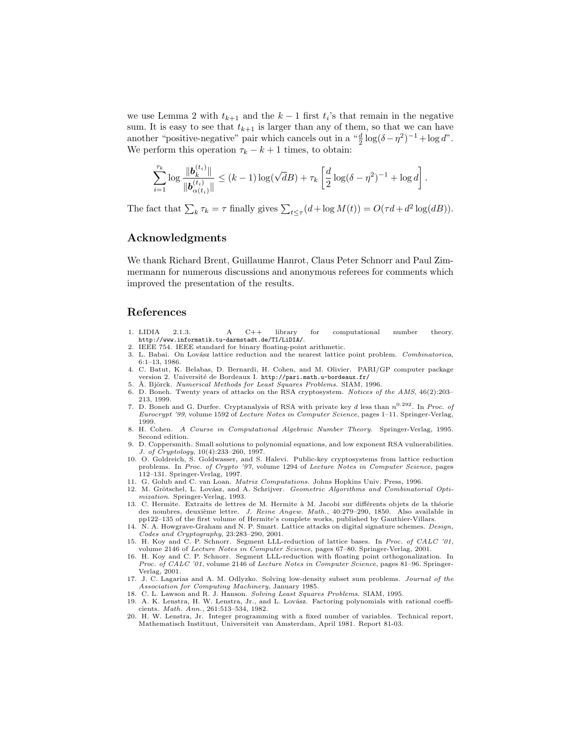we use Lemma 2 with  $t_{k+1}$  and the  $k-1$  first  $t_i$ 's that remain in the negative sum. It is easy to see that  $t_{k+1}$  is larger than any of them, so that we can have another "positive-negative" pair which cancels out in a  $\frac{d}{2} \log(\delta - \eta^2)^{-1} + \log d$ ". We perform this operation  $\tau_k - k + 1$  times, to obtain:

$$
\sum_{i=1}^{\tau_k} \log \frac{\| \bm{b}_{k}^{(t_i)} \|}{\| \bm{b}_{\alpha(t_i)}^{(t_i)} \|} \leq (k-1) \log(\sqrt{d}B) + \tau_k \left[ \frac{d}{2} \log(\delta - \eta^2)^{-1} + \log d \right].
$$

The fact that  $\sum_{k} \tau_k = \tau$  finally gives  $\sum_{t \leq \tau} (d + \log M(t)) = O(\tau d + d^2 \log(dB)).$ 

## Acknowledgments

We thank Richard Brent, Guillaume Hanrot, Claus Peter Schnorr and Paul Zimmermann for numerous discussions and anonymous referees for comments which improved the presentation of the results.

## References

- 1. LIDIA 2.1.3. A C++ library for computational number theory. http://www.informatik.tu-darmstadt.de/TI/LiDIA/.
- 2. IEEE 754. IEEE standard for binary floating-point arithmetic.
- 3. L. Babai. On Lovász lattice reduction and the nearest lattice point problem. Combinatorica, 6:1–13, 1986.
- 4. C. Batut, K. Belabas, D. Bernardi, H. Cohen, and M. Olivier. PARI/GP computer package version 2. Université de Bordeaux I. http://pari.math.u-bordeaux.fr/
- 5. Å. Björck. Numerical Methods for Least Squares Problems. SIAM, 1996.
- 6. D. Boneh. Twenty years of attacks on the RSA cryptosystem. Notices of the AMS, 46(2):203– 213, 1999.
- 7. D. Boneh and G. Durfee. Cryptanalysis of RSA with private key d less than  $n^{0.292}$ . In Proc. of Eurocrypt '99, volume 1592 of Lecture Notes in Computer Science, pages 1–11. Springer-Verlag, 1999.<br>8. H. Cohen.
- 8. H. Cohen. A Course in Computational Algebraic Number Theory. Springer-Verlag, 1995. Second edition.
- 9. D. Coppersmith. Small solutions to polynomial equations, and low exponent RSA vulnerabilities. J. of Cryptology, 10(4):233–260, 1997.
- 10. O. Goldreich, S. Goldwasser, and S. Halevi. Public-key cryptosystems from lattice reduction problems. In Proc. of Crypto '97, volume 1294 of Lecture Notes in Computer Science, pages 112–131. Springer-Verlag, 1997.
- 11. G. Golub and C. van Loan. Matrix Computations. Johns Hopkins Univ. Press, 1996.
- 12. M. Grötschel, L. Lovász, and A. Schrijver. Geometric Algorithms and Combinatorial Optimization. Springer-Verlag, 1993.
- 13. C. Hermite. Extraits de lettres de M. Hermite à M. Jacobi sur différents objets de la théorie des nombres, deuxième lettre. *J. Reine Angew. Math.*, 40:279–290, 1850. Also available in pp122–135 of the first volume of Hermite's complete works, published by Gauthier-Villars.
- 14. N. A. Howgrave-Graham and N. P. Smart. Lattice attacks on digital signature schemes. Design, Codes and Cryptography, 23:283–290, 2001.
- 15. H. Koy and C. P. Schnorr. Segment LLL-reduction of lattice bases. In Proc. of CALC '01, volume 2146 of Lecture Notes in Computer Science, pages 67-80. Springer-Verlag, 2001.
- 16. H. Koy and C. P. Schnorr. Segment LLL-reduction with floating point orthogonalization. In Proc. of CALC '01, volume 2146 of Lecture Notes in Computer Science, pages 81–96. Springer-Verlag, 2001.
- 17. J. C. Lagarias and A. M. Odlyzko. Solving low-density subset sum problems. Journal of the Association for Computing Machinery, January 1985.
- 18. C. L. Lawson and R. J. Hanson. *Solving Least Squares Problems*. SIAM, 1995.<br>19. A. K. Lenstra, H. W. Lenstra, Jr., and L. Lovász. Factoring polynomials with rational coeffi-
- cients. Math. Ann., 261:513–534, 1982. 20. H. W. Lenstra, Jr. Integer programming with a fixed number of variables. Technical report,
- Mathematisch Instituut, Universiteit van Amsterdam, April 1981. Report 81-03.